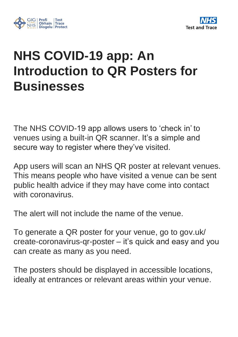

## **NHS COVID-19 app: An Introduction to QR Posters for Businesses**

The NHS COVID-19 app allows users to 'check in' to venues using a built-in QR scanner. It's a simple and secure way to register where they've visited.

App users will scan an NHS QR poster at relevant venues. This means people who have visited a venue can be sent public health advice if they may have come into contact with coronavirus.

The alert will not include the name of the venue.

To generate a QR poster for your venue, go to gov.uk/ create-coronavirus-qr-poster – it's quick and easy and you can create as many as you need.

The posters should be displayed in accessible locations, ideally at entrances or relevant areas within your venue.